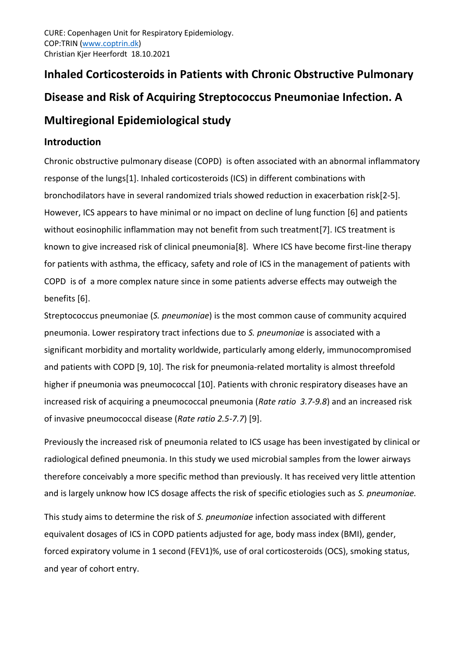# **Inhaled Corticosteroids in Patients with Chronic Obstructive Pulmonary Disease and Risk of Acquiring Streptococcus Pneumoniae Infection. A Multiregional Epidemiological study**

# **Introduction**

Chronic obstructive pulmonary disease (COPD) is often associated with an abnormal inflammatory response of the lungs[1]. Inhaled corticosteroids (ICS) in different combinations with bronchodilators have in several randomized trials showed reduction in exacerbation risk[2-5]. However, ICS appears to have minimal or no impact on decline of lung function [6] and patients without eosinophilic inflammation may not benefit from such treatment[7]. ICS treatment is known to give increased risk of clinical pneumonia[8]. Where ICS have become first-line therapy for patients with asthma, the efficacy, safety and role of ICS in the management of patients with COPD is of a more complex nature since in some patients adverse effects may outweigh the benefits [6].

Streptococcus pneumoniae (*S. pneumoniae*) is the most common cause of community acquired pneumonia. Lower respiratory tract infections due to *S. pneumoniae* is associated with a significant morbidity and mortality worldwide, particularly among elderly, immunocompromised and patients with COPD [9, 10]. The risk for pneumonia-related mortality is almost threefold higher if pneumonia was pneumococcal [10]. Patients with chronic respiratory diseases have an increased risk of acquiring a pneumococcal pneumonia (*Rate ratio 3.7-9.8*) and an increased risk of invasive pneumococcal disease (*Rate ratio 2.5-7.7*) [9].

Previously the increased risk of pneumonia related to ICS usage has been investigated by clinical or radiological defined pneumonia. In this study we used microbial samples from the lower airways therefore conceivably a more specific method than previously. It has received very little attention and is largely unknow how ICS dosage affects the risk of specific etiologies such as *S. pneumoniae.* 

This study aims to determine the risk of *S. pneumoniae* infection associated with different equivalent dosages of ICS in COPD patients adjusted for age, body mass index (BMI), gender, forced expiratory volume in 1 second (FEV1)%, use of oral corticosteroids (OCS), smoking status, and year of cohort entry.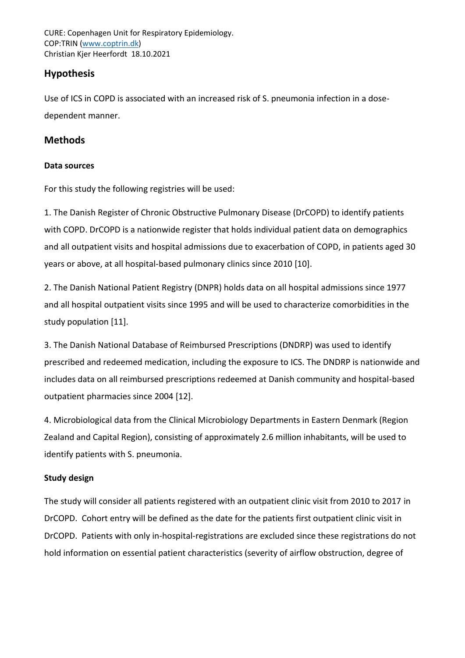CURE: Copenhagen Unit for Respiratory Epidemiology. COP:TRIN [\(www.coptrin.dk\)](http://www.coptrin.dk/) Christian Kjer Heerfordt 18.10.2021

## **Hypothesis**

Use of ICS in COPD is associated with an increased risk of S. pneumonia infection in a dosedependent manner.

## **Methods**

#### **Data sources**

For this study the following registries will be used:

1. The Danish Register of Chronic Obstructive Pulmonary Disease (DrCOPD) to identify patients with COPD. DrCOPD is a nationwide register that holds individual patient data on demographics and all outpatient visits and hospital admissions due to exacerbation of COPD, in patients aged 30 years or above, at all hospital-based pulmonary clinics since 2010 [10].

2. The Danish National Patient Registry (DNPR) holds data on all hospital admissions since 1977 and all hospital outpatient visits since 1995 and will be used to characterize comorbidities in the study population [11].

3. The Danish National Database of Reimbursed Prescriptions (DNDRP) was used to identify prescribed and redeemed medication, including the exposure to ICS. The DNDRP is nationwide and includes data on all reimbursed prescriptions redeemed at Danish community and hospital-based outpatient pharmacies since 2004 [12].

4. Microbiological data from the Clinical Microbiology Departments in Eastern Denmark (Region Zealand and Capital Region), consisting of approximately 2.6 million inhabitants, will be used to identify patients with S. pneumonia.

## **Study design**

The study will consider all patients registered with an outpatient clinic visit from 2010 to 2017 in DrCOPD. Cohort entry will be defined as the date for the patients first outpatient clinic visit in DrCOPD. Patients with only in-hospital-registrations are excluded since these registrations do not hold information on essential patient characteristics (severity of airflow obstruction, degree of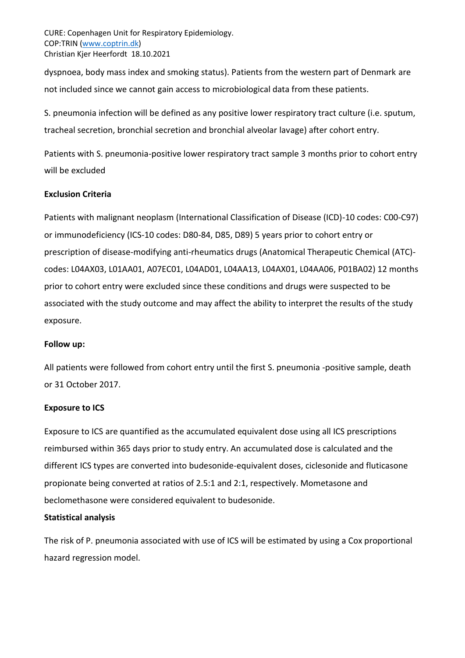CURE: Copenhagen Unit for Respiratory Epidemiology. COP:TRIN [\(www.coptrin.dk\)](http://www.coptrin.dk/) Christian Kjer Heerfordt 18.10.2021

dyspnoea, body mass index and smoking status). Patients from the western part of Denmark are not included since we cannot gain access to microbiological data from these patients.

S. pneumonia infection will be defined as any positive lower respiratory tract culture (i.e. sputum, tracheal secretion, bronchial secretion and bronchial alveolar lavage) after cohort entry.

Patients with S. pneumonia-positive lower respiratory tract sample 3 months prior to cohort entry will be excluded

#### **Exclusion Criteria**

Patients with malignant neoplasm (International Classification of Disease (ICD)-10 codes: C00-C97) or immunodeficiency (ICS-10 codes: D80-84, D85, D89) 5 years prior to cohort entry or prescription of disease-modifying anti-rheumatics drugs (Anatomical Therapeutic Chemical (ATC) codes: L04AX03, L01AA01, A07EC01, L04AD01, L04AA13, L04AX01, L04AA06, P01BA02) 12 months prior to cohort entry were excluded since these conditions and drugs were suspected to be associated with the study outcome and may affect the ability to interpret the results of the study exposure.

#### **Follow up:**

All patients were followed from cohort entry until the first S. pneumonia -positive sample, death or 31 October 2017.

#### **Exposure to ICS**

Exposure to ICS are quantified as the accumulated equivalent dose using all ICS prescriptions reimbursed within 365 days prior to study entry. An accumulated dose is calculated and the different ICS types are converted into budesonide-equivalent doses, ciclesonide and fluticasone propionate being converted at ratios of 2.5:1 and 2:1, respectively. Mometasone and beclomethasone were considered equivalent to budesonide.

#### **Statistical analysis**

The risk of P. pneumonia associated with use of ICS will be estimated by using a Cox proportional hazard regression model.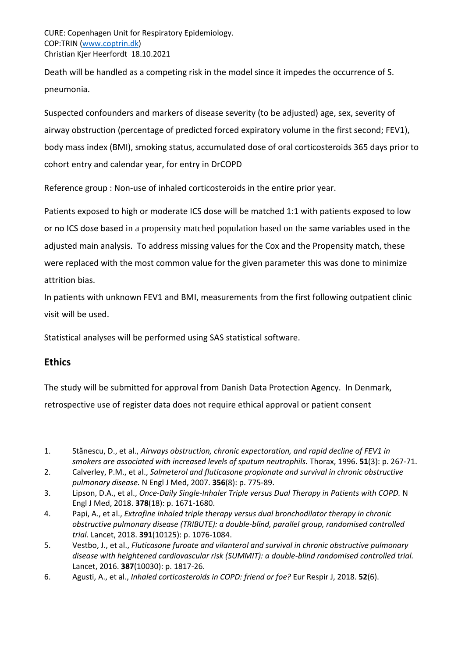Death will be handled as a competing risk in the model since it impedes the occurrence of S. pneumonia.

Suspected confounders and markers of disease severity (to be adjusted) age, sex, severity of airway obstruction (percentage of predicted forced expiratory volume in the first second; FEV1), body mass index (BMI), smoking status, accumulated dose of oral corticosteroids 365 days prior to cohort entry and calendar year, for entry in DrCOPD

Reference group : Non-use of inhaled corticosteroids in the entire prior year.

Patients exposed to high or moderate ICS dose will be matched 1:1 with patients exposed to low or no ICS dose based in a propensity matched population based on the same variables used in the adjusted main analysis. To address missing values for the Cox and the Propensity match, these were replaced with the most common value for the given parameter this was done to minimize attrition bias.

In patients with unknown FEV1 and BMI, measurements from the first following outpatient clinic visit will be used.

Statistical analyses will be performed using SAS statistical software.

# **Ethics**

The study will be submitted for approval from Danish Data Protection Agency. In Denmark, retrospective use of register data does not require ethical approval or patient consent

- 1. Stănescu, D., et al., *Airways obstruction, chronic expectoration, and rapid decline of FEV1 in smokers are associated with increased levels of sputum neutrophils.* Thorax, 1996. **51**(3): p. 267-71.
- 2. Calverley, P.M., et al., *Salmeterol and fluticasone propionate and survival in chronic obstructive pulmonary disease.* N Engl J Med, 2007. **356**(8): p. 775-89.
- 3. Lipson, D.A., et al., *Once-Daily Single-Inhaler Triple versus Dual Therapy in Patients with COPD.* N Engl J Med, 2018. **378**(18): p. 1671-1680.
- 4. Papi, A., et al., *Extrafine inhaled triple therapy versus dual bronchodilator therapy in chronic obstructive pulmonary disease (TRIBUTE): a double-blind, parallel group, randomised controlled trial.* Lancet, 2018. **391**(10125): p. 1076-1084.
- 5. Vestbo, J., et al., *Fluticasone furoate and vilanterol and survival in chronic obstructive pulmonary disease with heightened cardiovascular risk (SUMMIT): a double-blind randomised controlled trial.* Lancet, 2016. **387**(10030): p. 1817-26.
- 6. Agusti, A., et al., *Inhaled corticosteroids in COPD: friend or foe?* Eur Respir J, 2018. **52**(6).